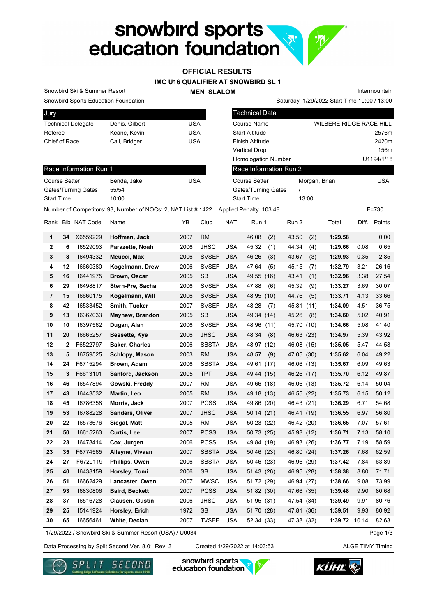# snowbird sports<br>education foundation

## **OFFICIAL RESULTS**

**IMC U16 QUALIFIER AT SNOWBIRD SL 1**

#### **MEN SLALOM**

Intermountain

Snowbird Sports Education Foundation Snowbird Ski & Summer Resort

| Jury                      |                |     |
|---------------------------|----------------|-----|
| <b>Technical Delegate</b> | Denis, Gilbert | USA |
| Referee                   | Keane, Kevin   | USA |
| Chief of Race             | Call, Bridger  | USA |
|                           |                |     |

| Snowbird Sports Education Foundation |                                                                                      |            | Saturday 1/29/2022 Start Time 10:00 / 13:00 |               |                         |  |  |  |
|--------------------------------------|--------------------------------------------------------------------------------------|------------|---------------------------------------------|---------------|-------------------------|--|--|--|
| Jury                                 |                                                                                      |            | <b>Technical Data</b>                       |               |                         |  |  |  |
| <b>Technical Delegate</b>            | Denis, Gilbert                                                                       | <b>USA</b> | Course Name                                 |               | WILBERE RIDGE RACE HILL |  |  |  |
| Referee                              | Keane, Kevin                                                                         | <b>USA</b> | <b>Start Altitude</b>                       |               | 2576m                   |  |  |  |
| Chief of Race                        | Call, Bridger                                                                        | <b>USA</b> | Finish Altitude                             |               | 2420m                   |  |  |  |
|                                      |                                                                                      |            | <b>Vertical Drop</b>                        |               | 156m                    |  |  |  |
|                                      |                                                                                      |            | <b>Homologation Number</b>                  |               | U1194/1/18              |  |  |  |
| Race Information Run 1               |                                                                                      |            | Race Information Run 2                      |               |                         |  |  |  |
| Course Setter                        | Benda, Jake                                                                          | <b>USA</b> | <b>Course Setter</b>                        | Morgan, Brian | <b>USA</b>              |  |  |  |
| Gates/Turning Gates                  | 55/54                                                                                |            | Gates/Turning Gates                         |               |                         |  |  |  |
| <b>Start Time</b>                    | 10:00                                                                                |            | <b>Start Time</b>                           | 13:00         |                         |  |  |  |
|                                      | Number of Competitors: 93, Number of NOCs: 2, NAT List #1422, Applied Penalty 103.48 |            |                                             |               | $F = 730$               |  |  |  |

#### Race Information Run 1

| <b>Course Setter</b>       | Benda, Jake | USA |
|----------------------------|-------------|-----|
| <b>Gates/Turning Gates</b> | 55/54       |     |
| <b>Start Time</b>          | 10:00       |     |

|              |                                                                    | Rank Bib NAT Code | Name                   | YΒ   | Club         | <b>NAT</b> | Run 1         | Run 2         | Total   |       | Diff. Points |
|--------------|--------------------------------------------------------------------|-------------------|------------------------|------|--------------|------------|---------------|---------------|---------|-------|--------------|
| 1            | 34                                                                 | X6559229          | Hoffman, Jack          | 2007 | <b>RM</b>    |            | 46.08<br>(2)  | 43.50<br>(2)  | 1:29.58 |       | 0.00         |
| $\mathbf{2}$ | 6                                                                  | 16529093          | Parazette, Noah        | 2006 | <b>JHSC</b>  | <b>USA</b> | 45.32<br>(1)  | 44.34<br>(4)  | 1:29.66 | 0.08  | 0.65         |
| 3            | 8                                                                  | 16494332          | Meucci, Max            | 2006 | <b>SVSEF</b> | <b>USA</b> | 46.26<br>(3)  | 43.67<br>(3)  | 1:29.93 | 0.35  | 2.85         |
| 4            | 12                                                                 | 16660380          | Kogelmann, Drew        | 2006 | <b>SVSEF</b> | <b>USA</b> | 47.64<br>(5)  | 45.15<br>(7)  | 1:32.79 | 3.21  | 26.16        |
| 5            | 16                                                                 | 16441975          | Brown, Oscar           | 2005 | <b>SB</b>    | <b>USA</b> | 49.55 (16)    | (1)<br>43.41  | 1:32.96 | 3.38  | 27.54        |
| 6            | 29                                                                 | 16498817          | Stern-Pre, Sacha       | 2006 | <b>SVSEF</b> | <b>USA</b> | 47.88<br>(6)  | 45.39<br>(9)  | 1:33.27 | 3.69  | 30.07        |
| 7            | 15                                                                 | 16660175          | Kogelmann, Will        | 2006 | <b>SVSEF</b> | <b>USA</b> | 48.95 (10)    | 44.76<br>(5)  | 1:33.71 | 4.13  | 33.66        |
| 8            | 42                                                                 | 16533452          | Smith, Tucker          | 2007 | <b>SVSEF</b> | <b>USA</b> | 48.28<br>(7)  | 45.81<br>(11) | 1:34.09 | 4.51  | 36.75        |
| 9            | 13                                                                 | 16362033          | <b>Mayhew, Brandon</b> | 2005 | <b>SB</b>    | <b>USA</b> | 49.34 (14)    | 45.26<br>(8)  | 1:34.60 | 5.02  | 40.91        |
| 10           | 10                                                                 | 16397562          | Dugan, Alan            | 2006 | <b>SVSEF</b> | <b>USA</b> | 48.96<br>(11) | 45.70<br>(10) | 1:34.66 | 5.08  | 41.40        |
| 11           | 20                                                                 | 16665257          | Bessette, Kye          | 2006 | <b>JHSC</b>  | <b>USA</b> | 48.34<br>(8)  | 46.63 (23)    | 1:34.97 | 5.39  | 43.92        |
| 12           | 2                                                                  | F6522797          | <b>Baker, Charles</b>  | 2006 | <b>SBSTA</b> | <b>USA</b> | 48.97 (12)    | 46.08 (15)    | 1:35.05 | 5.47  | 44.58        |
| 13           | 5                                                                  | 16759525          | Schlopy, Mason         | 2003 | <b>RM</b>    | <b>USA</b> | 48.57<br>(9)  | 47.05 (30)    | 1:35.62 | 6.04  | 49.22        |
| 14           | 24                                                                 | F6715294          | Brown, Adam            | 2006 | <b>SBSTA</b> | <b>USA</b> | 49.61 (17)    | 46.06 (13)    | 1:35.67 | 6.09  | 49.63        |
| 15           | 3                                                                  | F6613101          | Sanford, Jackson       | 2005 | <b>TPT</b>   | <b>USA</b> | 49.44 (15)    | 46.26 (17)    | 1:35.70 | 6.12  | 49.87        |
| 16           | 46                                                                 | 16547894          | Gowski, Freddy         | 2007 | RM           | <b>USA</b> | 49.66 (18)    | 46.06 (13)    | 1:35.72 | 6.14  | 50.04        |
| 17           | 43                                                                 | 16443532          | Martin, Leo            | 2005 | <b>RM</b>    | <b>USA</b> | 49.18 (13)    | 46.55 (22)    | 1:35.73 | 6.15  | 50.12        |
| 18           | 45                                                                 | 16786358          | Morris, Jack           | 2007 | <b>PCSS</b>  | <b>USA</b> | 49.86 (20)    | 46.43 (21)    | 1:36.29 | 6.71  | 54.68        |
| 19           | 53                                                                 | 16788228          | Sanders, Oliver        | 2007 | <b>JHSC</b>  | <b>USA</b> | 50.14 (21)    | 46.41 (19)    | 1:36.55 | 6.97  | 56.80        |
| 20           | 22                                                                 | 16573676          | Siegal, Matt           | 2005 | RM           | <b>USA</b> | 50.23 (22)    | 46.42 (20)    | 1:36.65 | 7.07  | 57.61        |
| 21           | 50                                                                 | 16615263          | Curtis, Lee            | 2007 | <b>PCSS</b>  | <b>USA</b> | 50.73 (25)    | 45.98 (12)    | 1:36.71 | 7.13  | 58.10        |
| 22           | 23                                                                 | 16478414          | Cox, Jurgen            | 2006 | <b>PCSS</b>  | <b>USA</b> | 49.84 (19)    | 46.93 (26)    | 1:36.77 | 7.19  | 58.59        |
| 23           | 35                                                                 | F6774565          | Alleyne, Vivaan        | 2007 | <b>SBSTA</b> | <b>USA</b> | 50.46 (23)    | 46.80 (24)    | 1:37.26 | 7.68  | 62.59        |
| 24           | 27                                                                 | F6729119          | Phillips, Owen         | 2006 | <b>SBSTA</b> | <b>USA</b> | 50.46 (23)    | 46.96 (29)    | 1:37.42 | 7.84  | 63.89        |
| 25           | 40                                                                 | 16438159          | Horsley, Tomi          | 2006 | <b>SB</b>    | <b>USA</b> | 51.43 (26)    | 46.95 (28)    | 1:38.38 | 8.80  | 71.71        |
| 26           | 51                                                                 | 16662429          | Lancaster, Owen        | 2007 | <b>MWSC</b>  | <b>USA</b> | 51.72 (29)    | 46.94 (27)    | 1:38.66 | 9.08  | 73.99        |
| 27           | 93                                                                 | 16830806          | <b>Baird, Beckett</b>  | 2007 | <b>PCSS</b>  | <b>USA</b> | 51.82 (30)    | 47.66 (35)    | 1:39.48 | 9.90  | 80.68        |
| 28           | 37                                                                 | 16516728          | Clausen, Gustin        | 2006 | <b>JHSC</b>  | <b>USA</b> | 51.95 (31)    | 47.54 (34)    | 1:39.49 | 9.91  | 80.76        |
| 29           | 25                                                                 | 15141924          | Horsley, Erich         | 1972 | <b>SB</b>    | <b>USA</b> | 51.70 (28)    | 47.81 (36)    | 1:39.51 | 9.93  | 80.92        |
| 30           | 65                                                                 | 16656461          | White, Declan          | 2007 | <b>TVSEF</b> | <b>USA</b> | 52.34 (33)    | 47.38 (32)    | 1:39.72 | 10.14 | 82.63        |
|              | Page 1/3<br>1/29/2022 / Snowbird Ski & Summer Resort (USA) / U0034 |                   |                        |      |              |            |               |               |         |       |              |

1/29/2022 / Snowbird Ski & Summer Resort (USA) / U0034

Data Processing by Split Second Ver. 8.01 Rev. 3 Created 1/29/2022 at 14:03:53 ALGE TIMY Timing Created 1/29/2022 at 14:03:53





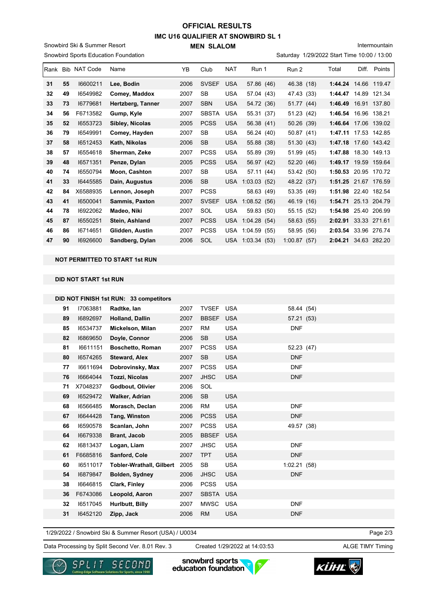### **IMC U16 QUALIFIER AT SNOWBIRD SL 1 MEN SLALOM OFFICIAL RESULTS**

Snowbird Sports Education Foundation Snowbird Ski & Summer Resort

Intermountain

Saturday 1/29/2022 Start Time 10:00 / 13:00

| Rank Bib |    | <b>NAT Code</b> | Name              | YB.  | Club         | <b>NAT</b> | Run 1           | Run 2         | Total                | Diff. | Points       |
|----------|----|-----------------|-------------------|------|--------------|------------|-----------------|---------------|----------------------|-------|--------------|
| 31       | 55 | 16600211        | Lee, Bodin        | 2006 | <b>SVSEF</b> | <b>USA</b> | 57.86 (46)      | 46.38 (18)    | 1:44.24 14.66 119.47 |       |              |
| 32       | 49 | 16549982        | Comey, Maddox     | 2007 | SB           | <b>USA</b> | 57.04 (43)      | 47.43 (33)    | 1:44.47              | 14.89 | 121.34       |
| 33       | 73 | 16779681        | Hertzberg, Tanner | 2007 | <b>SBN</b>   | <b>USA</b> | 54.72 (36)      | 51.77(44)     | 1:46.49              |       | 16.91 137.80 |
| 34       | 56 | F6713582        | Gump, Kyle        | 2007 | <b>SBSTA</b> | <b>USA</b> | 55.31 (37)      | 51.23 (42)    | 1:46.54              |       | 16.96 138.21 |
| 35       | 52 | 16553723        | Sibley, Nicolas   | 2005 | <b>PCSS</b>  | <b>USA</b> | 56.38 (41)      | 50.26 (39)    | 1:46.64 17.06 139.02 |       |              |
| 36       | 79 | 16549991        | Comey, Hayden     | 2007 | <b>SB</b>    | <b>USA</b> | 56.24 (40)      | 50.87 (41)    | 1:47.11              |       | 17.53 142.85 |
| 37       | 58 | 16512453        | Kath, Nikolas     | 2006 | <b>SB</b>    | <b>USA</b> | 55.88 (38)      | 51.30(43)     | 1:47.18              |       | 17.60 143.42 |
| 38       | 57 | 16554618        | Sherman, Zeke     | 2007 | <b>PCSS</b>  | <b>USA</b> | 55.89 (39)      | 51.99 (45)    | 1:47.88              | 18.30 | 149.13       |
| 39       | 48 | 16571351        | Penze, Dylan      | 2005 | <b>PCSS</b>  | <b>USA</b> | 56.97 (42)      | 52.20 (46)    | 1:49.17              | 19.59 | 159.64       |
| 40       | 74 | 16550794        | Moon, Cashton     | 2007 | <b>SB</b>    | <b>USA</b> | 57.11 (44)      | 53.42 (50)    | 1:50.53              | 20.95 | 170.72       |
| 41       | 33 | 16445585        | Dain, Augustus    | 2006 | <b>SB</b>    | USA        | 1:03.03(52)     | 48.22 (37)    | 1:51.25              |       | 21.67 176.59 |
| 42       | 84 | X6588935        | Lennon, Joseph    | 2007 | <b>PCSS</b>  |            | 58.63 (49)      | 53.35 (49)    | 1:51.98              | 22.40 | 182.54       |
| 43       | 41 | 16500041        | Sammis, Paxton    | 2007 | <b>SVSEF</b> | <b>USA</b> | 1:08.52(56)     | 46.19 (16)    | 1:54.71              |       | 25.13 204.79 |
| 44       | 78 | 16922062        | Madeo, Niki       | 2007 | SOL          | <b>USA</b> | 59.83 (50)      | 55.15 (52)    | 1:54.98              |       | 25.40 206.99 |
| 45       | 87 | 16550251        | Stein, Ashland    | 2007 | <b>PCSS</b>  | USA        | 1:04.28(54)     | 58.63 (55)    | 2:02.91              |       | 33.33 271.61 |
| 46       | 86 | 16714651        | Glidden, Austin   | 2007 | <b>PCSS</b>  | USA.       | 1:04.59<br>(55) | 58.95<br>(56) | 2:03.54              |       | 33.96 276.74 |
| 47       | 90 | 16926600        | Sandberg, Dylan   | 2006 | SOL          | USA        | 1:03.34(53)     | 1:00.87(57)   | 2:04.21              |       | 34.63 282.20 |
|          |    |                 |                   |      |              |            |                 |               |                      |       |              |

#### **NOT PERMITTED TO START 1st RUN**

**DID NOT START 1st RUN**

|  |  | DID NOT FINISH 1st RUN: 33 competitors |  |
|--|--|----------------------------------------|--|
|  |  |                                        |  |

| 91 | 17063881 | Radtke, lan                     | 2007 | <b>TVSEF</b> | <b>USA</b> | 58.44 (54)  |  |
|----|----------|---------------------------------|------|--------------|------------|-------------|--|
| 89 | 16892697 | Holland, Dallin                 | 2007 | <b>BBSEF</b> | <b>USA</b> | 57.21 (53)  |  |
| 85 | 16534737 | Mickelson, Milan                | 2007 | <b>RM</b>    | <b>USA</b> | <b>DNF</b>  |  |
| 82 | 16869650 | Doyle, Connor                   | 2006 | <b>SB</b>    | <b>USA</b> |             |  |
| 81 | 16611151 | <b>Boschetto, Roman</b>         | 2007 | <b>PCSS</b>  | <b>USA</b> | 52.23 (47)  |  |
| 80 | 16574265 | <b>Steward, Alex</b>            | 2007 | <b>SB</b>    | <b>USA</b> | <b>DNF</b>  |  |
| 77 | 16611694 | Dobrovinsky, Max                | 2007 | <b>PCSS</b>  | <b>USA</b> | <b>DNF</b>  |  |
| 76 | 16664044 | Tozzi, Nicolas                  | 2007 | <b>JHSC</b>  | <b>USA</b> | <b>DNF</b>  |  |
| 71 | X7048237 | Godbout, Olivier                | 2006 | SOL          |            |             |  |
| 69 | 16529472 | Walker, Adrian                  | 2006 | <b>SB</b>    | <b>USA</b> |             |  |
| 68 | 16566485 | Morasch, Declan                 | 2006 | RM           | <b>USA</b> | <b>DNF</b>  |  |
| 67 | 16644428 | Tang, Winston                   | 2006 | <b>PCSS</b>  | <b>USA</b> | <b>DNF</b>  |  |
| 66 | 16590578 | Scanlan, John                   | 2007 | <b>PCSS</b>  | <b>USA</b> | 49.57 (38)  |  |
| 64 | 16679338 | <b>Brant, Jacob</b>             | 2005 | <b>BBSEF</b> | <b>USA</b> |             |  |
| 62 | 16813437 | Logan, Liam                     | 2007 | <b>JHSC</b>  | <b>USA</b> | <b>DNF</b>  |  |
| 61 | F6685816 | Sanford, Cole                   | 2007 | <b>TPT</b>   | <b>USA</b> | <b>DNF</b>  |  |
| 60 | 16511017 | <b>Tobler-Wrathall, Gilbert</b> | 2005 | SB           | <b>USA</b> | 1:02.21(58) |  |
| 54 | 16879847 | Bolden, Sydney                  | 2006 | <b>JHSC</b>  | <b>USA</b> | <b>DNF</b>  |  |
| 38 | 16646815 | Clark, Finley                   | 2006 | <b>PCSS</b>  | <b>USA</b> |             |  |
| 36 | F6743086 | Leopold, Aaron                  | 2007 | <b>SBSTA</b> | <b>USA</b> |             |  |
| 32 | 16517045 | Hurlbutt, Billy                 | 2007 | <b>MWSC</b>  | <b>USA</b> | <b>DNF</b>  |  |
| 31 | 16452120 | Zipp, Jack                      | 2006 | <b>RM</b>    | <b>USA</b> | <b>DNF</b>  |  |
|    |          |                                 |      |              |            |             |  |

1/29/2022 / Snowbird Ski & Summer Resort (USA) / U0034

Page 2/3

Data Processing by Split Second Ver. 8.01 Rev. 3 Created 1/29/2022 at 14:03:53 ALGE TIMY Timing

Created 1/29/2022 at 14:03:53



snowbird sports education foundation